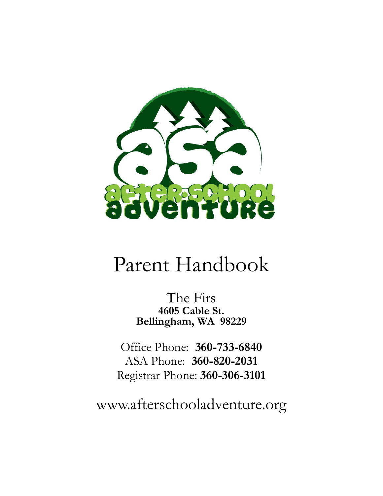

# Parent Handbook

The Firs **4605 Cable St. Bellingham, WA 98229**

Office Phone: **360-733-6840** ASA Phone: **360-820-2031** Registrar Phone: **360-306-3101**

www.afterschooladventure.org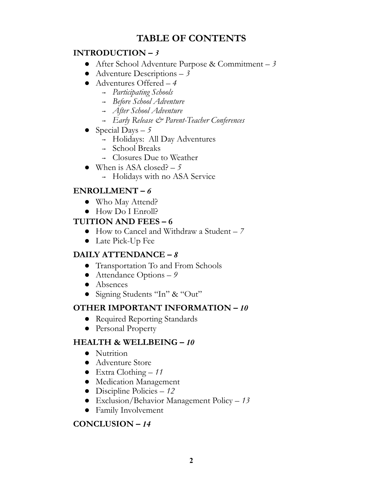# **TABLE OF CONTENTS**

# **INTRODUCTION –** *3*

- **●** After School Adventure Purpose & Commitment *3*
- **●** Adventure Descriptions *3*
- **●** Adventures Offered *4*
	- **<sup>→</sup>** *Participating Schools*
	- **<sup>→</sup>** *Before School Adventure*
	- **<sup>→</sup>** *After School Adventure*
	- **<sup>→</sup>** *Early Release & Parent-Teacher Conferences*
- **●** Special Days *5*
	- **<sup>→</sup>** Holidays: All Day Adventures
	- **<sup>→</sup>** School Breaks
	- **<sup>→</sup>** Closures Due to Weather
- When is ASA closed?  $-5$ 
	- **<sup>→</sup>** Holidays with no ASA Service

# **ENROLLMENT –** *6*

- **●** Who May Attend?
- **●** How Do I Enroll?

# **TUITION AND FEES – 6**

- **●** How to Cancel and Withdraw a Student *7*
- **●** Late Pick-Up Fee

# **DAILY ATTENDANCE –** *8*

- **●** Transportation To and From Schools
- **●** Attendance Options *9*
- **●** Absences
- Signing Students "In" & "Out"

# **OTHER IMPORTANT INFORMATION –** *10*

- **●** Required Reporting Standards
- **●** Personal Property

# **HEALTH & WELLBEING –** *10*

- **●** Nutrition
- **●** Adventure Store
- Extra Clothing *11*
- Medication Management
- Discipline Policies *12*
- Exclusion/Behavior Management Policy *13*
- **●** Family Involvement

# **CONCLUSION –** *14*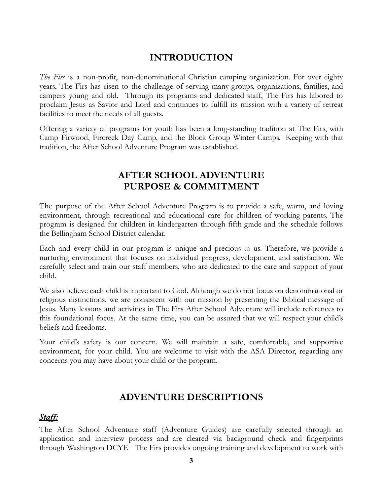# **INTRODUCTION**

*The Firs* is a non-profit, non-denominational Christian camping organization. For over eighty years, The Firs has risen to the challenge of serving many groups, organizations, families, and campers young and old. Through its programs and dedicated staff, The Firs has labored to proclaim Jesus as Savior and Lord and continues to fulfill its mission with a variety of retreat facilities to meet the needs of all guests.

Offering a variety of programs for youth has been a long-standing tradition at The Firs, with Camp Firwood, Fircreek Day Camp, and the Block Group Winter Camps. Keeping with that tradition, the After School Adventure Program was established.

# **AFTER SCHOOL ADVENTURE PURPOSE & COMMITMENT**

The purpose of the After School Adventure Program is to provide a safe, warm, and loving environment, through recreational and educational care for children of working parents. The program is designed for children in kindergarten through fifth grade and the schedule follows the Bellingham School District calendar.

Each and every child in our program is unique and precious to us. Therefore, we provide a nurturing environment that focuses on individual progress, development, and satisfaction. We carefully select and train our staff members, who are dedicated to the care and support of your child.

We also believe each child is important to God. Although we do not focus on denominational or religious distinctions, we are consistent with our mission by presenting the Biblical message of Jesus. Many lessons and activities in The Firs After School Adventure will include references to this foundational focus. At the same time, you can be assured that we will respect your child's beliefs and freedoms.

Your child's safety is our concern. We will maintain a safe, comfortable, and supportive environment, for your child. You are welcome to visit with the ASA Director, regarding any concerns you may have about your child or the program.

# **ADVENTURE DESCRIPTIONS**

#### *Staff:*

The After School Adventure staff (Adventure Guides) are carefully selected through an application and interview process and are cleared via background check and fingerprints through Washington DCYF. The Firs provides ongoing training and development to work with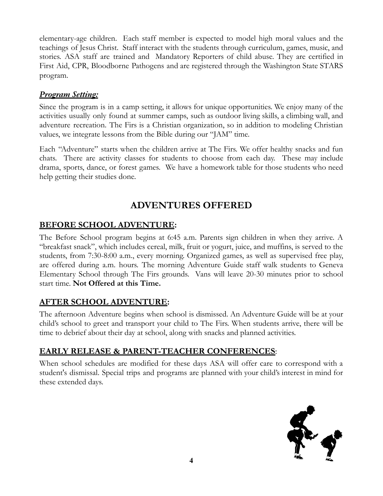elementary-age children. Each staff member is expected to model high moral values and the teachings of Jesus Christ. Staff interact with the students through curriculum, games, music, and stories. ASA staff are trained and Mandatory Reporters of child abuse. They are certified in First Aid, CPR, Bloodborne Pathogens and are registered through the Washington State STARS program.

# *Program Setting:*

Since the program is in a camp setting, it allows for unique opportunities. We enjoy many of the activities usually only found at summer camps, such as outdoor living skills, a climbing wall, and adventure recreation. The Firs is a Christian organization, so in addition to modeling Christian values, we integrate lessons from the Bible during our "JAM" time.

Each "Adventure" starts when the children arrive at The Firs. We offer healthy snacks and fun chats. There are activity classes for students to choose from each day. These may include drama, sports, dance, or forest games. We have a homework table for those students who need help getting their studies done.

# **ADVENTURES OFFERED**

# **BEFORE SCHOOL ADVENTURE:**

The Before School program begins at 6:45 a.m. Parents sign children in when they arrive. A "breakfast snack", which includes cereal, milk, fruit or yogurt, juice, and muffins, is served to the students, from 7:30-8:00 a.m., every morning. Organized games, as well as supervised free play, are offered during a.m. hours. The morning Adventure Guide staff walk students to Geneva Elementary School through The Firs grounds. Vans will leave 20-30 minutes prior to school start time. **Not Offered at this Time.**

# **AFTER SCHOOL ADVENTURE:**

The afternoon Adventure begins when school is dismissed. An Adventure Guide will be at your child's school to greet and transport your child to The Firs. When students arrive, there will be time to debrief about their day at school, along with snacks and planned activities.

# **EARLY RELEASE & PARENT-TEACHER CONFERENCES**:

When school schedules are modified for these days ASA will offer care to correspond with a student's dismissal. Special trips and programs are planned with your child's interest in mind for these extended days.

![](_page_3_Picture_11.jpeg)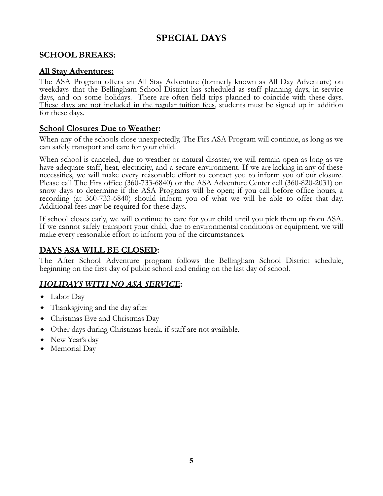# **SPECIAL DAYS**

# **SCHOOL BREAKS:**

#### **All Stay Adventures:**

The ASA Program offers an All Stay Adventure (formerly known as All Day Adventure) on weekdays that the Bellingham School District has scheduled as staff planning days, in-service days, and on some holidays. There are often field trips planned to coincide with these days. These days are not included in the regular tuition fees, students must be signed up in addition for these days.

#### **School Closures Due to Weather:**

When any of the schools close unexpectedly, The Firs ASA Program will continue, as long as we can safely transport and care for your child.

When school is canceled, due to weather or natural disaster, we will remain open as long as we have adequate staff, heat, electricity, and a secure environment. If we are lacking in any of these necessities, we will make every reasonable effort to contact you to inform you of our closure. Please call The Firs office (360-733-6840) or the ASA Adventure Center cell (360-820-2031) on snow days to determine if the ASA Programs will be open; if you call before office hours, a recording (at 360-733-6840) should inform you of what we will be able to offer that day. Additional fees may be required for these days.

If school closes early, we will continue to care for your child until you pick them up from ASA. If we cannot safely transport your child, due to environmental conditions or equipment, we will make every reasonable effort to inform you of the circumstances.

# **DAYS ASA WILL BE CLOSED:**

The After School Adventure program follows the Bellingham School District schedule, beginning on the first day of public school and ending on the last day of school.

# *HOLIDAYS WITH NO ASA SERVICE***:**

- Labor Day
- Thanksgiving and the day after
- ⬥ Christmas Eve and Christmas Day
- ⬥ Other days during Christmas break, if staff are not available.
- New Year's day
- Memorial Day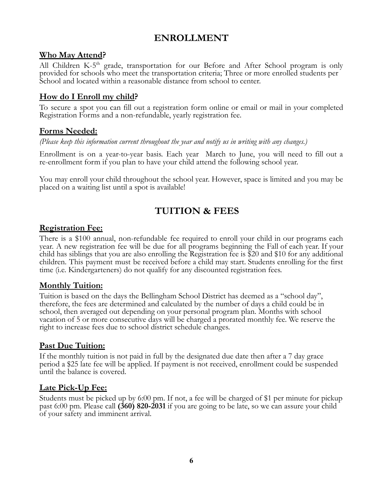# **ENROLLMENT**

#### **Who May Attend?**

All Children K-5<sup>th</sup> grade, transportation for our Before and After School program is only provided for schools who meet the transportation criteria; Three or more enrolled students per School and located within a reasonable distance from school to center.

## **How do I Enroll my child?**

To secure a spot you can fill out a registration form online or email or mail in your completed Registration Forms and a non-refundable, yearly registration fee.

## **Forms Needed:**

*(Please keep this information current throughout the year and notify us in writing with any changes.)*

Enrollment is on a year-to-year basis. Each year March to June, you will need to fill out a re-enrollment form if you plan to have your child attend the following school year.

You may enroll your child throughout the school year. However, space is limited and you may be placed on a waiting list until a spot is available!

# **TUITION & FEES**

#### **Registration Fee:**

There is a \$100 annual, non-refundable fee required to enroll your child in our programs each year. A new registration fee will be due for all programs beginning the Fall of each year. If your child has siblings that you are also enrolling the Registration fee is \$20 and \$10 for any additional children. This payment must be received before a child may start. Students enrolling for the first time (i.e. Kindergarteners) do not qualify for any discounted registration fees.

#### **Monthly Tuition:**

Tuition is based on the days the Bellingham School District has deemed as a "school day", therefore, the fees are determined and calculated by the number of days a child could be in school, then averaged out depending on your personal program plan. Months with school vacation of 5 or more consecutive days will be charged a prorated monthly fee. We reserve the right to increase fees due to school district schedule changes.

#### **Past Due Tuition:**

If the monthly tuition is not paid in full by the designated due date then after a 7 day grace period a \$25 late fee will be applied. If payment is not received, enrollment could be suspended until the balance is covered.

#### **Late Pick-Up Fee:**

Students must be picked up by 6:00 pm. If not, a fee will be charged of \$1 per minute for pickup past 6:00 pm. Please call **(360) 820-2031** if you are going to be late, so we can assure your child of your safety and imminent arrival.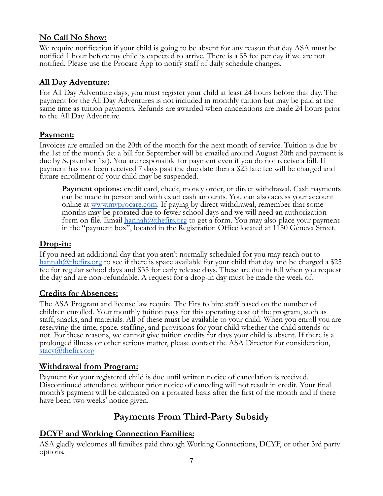## **No Call No Show:**

We require notification if your child is going to be absent for any reason that day ASA must be notified 1 hour before my child is expected to arrive. There is a \$5 fee per day if we are not notified. Please use the Procare App to notify staff of daily schedule changes.

## **All Day Adventure:**

For All Day Adventure days, you must register your child at least 24 hours before that day. The payment for the All Day Adventures is not included in monthly tuition but may be paid at the same time as tuition payments. Refunds are awarded when cancelations are made 24 hours prior to the All Day Adventure.

# **Payment:**

Invoices are emailed on the 20th of the month for the next month of service. Tuition is due by the 1st of the month (ie: a bill for September will be emailed around August 20th and payment is due by September 1st). You are responsible for payment even if you do not receive a bill. If payment has not been received 7 days past the due date then a \$25 late fee will be charged and future enrollment of your child may be suspended.

**Payment options:** credit card, check, money order, or direct withdrawal. Cash payments can be made in person and with exact cash amounts. You can also access your account online at [www.myprocare.com](http://www.myprocare.com/). If paying by direct withdrawal, remember that some months may be prorated due to fewer school days and we will need an authorization form on file. Email [hannah@thefirs.org](mailto:hannah@thefirs.org) to get a form. You may also place your payment in the "payment box", located in the Registration Office located at 1150 Geneva Street.

## **Drop-in:**

If you need an additional day that you aren't normally scheduled for you may reach out to [hannah@thefirs.org](mailto:hannah@thefirs.org) to see if there is space available for your child that day and be charged a \$25 fee for regular school days and \$35 for early release days. These are due in full when you request the day and are non-refundable. A request for a drop-in day must be made the week of.

# **Credits for Absences:**

The ASA Program and license law require The Firs to hire staff based on the number of children enrolled. Your monthly tuition pays for this operating cost of the program, such as staff, snacks, and materials. All of these must be available to your child. When you enroll you are reserving the time, space, staffing, and provisions for your child whether the child attends or not. For these reasons, we cannot give tuition credits for days your child is absent. If there is a prolonged illness or other serious matter, please contact the ASA Director for consideration, [stacy@thefirs.org](mailto:stacy@thefirs.org)

#### **Withdrawal from Program:**

Payment for your registered child is due until written notice of cancelation is received. Discontinued attendance without prior notice of canceling will not result in credit. Your final month's payment will be calculated on a prorated basis after the first of the month and if there have been two weeks' notice given.

# **Payments From Third-Party Subsidy**

# **DCYF and Working Connection Families:**

ASA gladly welcomes all families paid through Working Connections, DCYF, or other 3rd party options.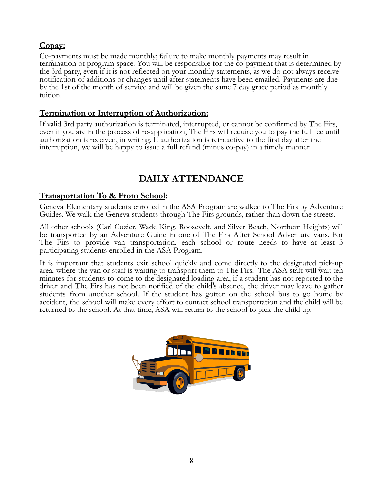# **Copay:**

Co-payments must be made monthly; failure to make monthly payments may result in termination of program space. You will be responsible for the co-payment that is determined by the 3rd party, even if it is not reflected on your monthly statements, as we do not always receive notification of additions or changes until after statements have been emailed. Payments are due by the 1st of the month of service and will be given the same 7 day grace period as monthly tuition.

## **Termination or Interruption of Authorization:**

If valid 3rd party authorization is terminated, interrupted, or cannot be confirmed by The Firs, even if you are in the process of re-application, The Firs will require you to pay the full fee until authorization is received, in writing. If authorization is retroactive to the first day after the interruption, we will be happy to issue a full refund (minus co-pay) in a timely manner.

# **DAILY ATTENDANCE**

## **Transportation To & From School:**

Geneva Elementary students enrolled in the ASA Program are walked to The Firs by Adventure Guides. We walk the Geneva students through The Firs grounds, rather than down the streets.

All other schools (Carl Cozier, Wade King, Roosevelt, and Silver Beach, Northern Heights) will be transported by an Adventure Guide in one of The Firs After School Adventure vans. For The Firs to provide van transportation, each school or route needs to have at least 3 participating students enrolled in the ASA Program.

It is important that students exit school quickly and come directly to the designated pick-up area, where the van or staff is waiting to transport them to The Firs. The ASA staff will wait ten minutes for students to come to the designated loading area, if a student has not reported to the driver and The Firs has not been notified of the child's absence, the driver may leave to gather students from another school. If the student has gotten on the school bus to go home by accident, the school will make every effort to contact school transportation and the child will be returned to the school. At that time, ASA will return to the school to pick the child up.

![](_page_7_Picture_9.jpeg)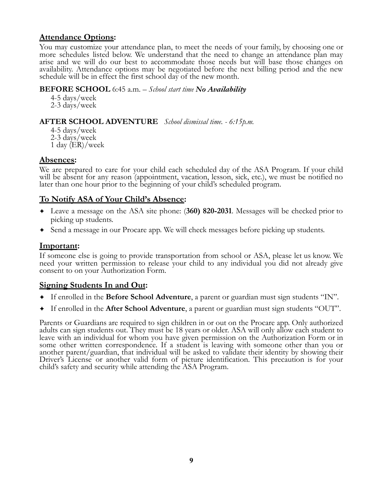#### **Attendance Options:**

You may customize your attendance plan, to meet the needs of your family, by choosing one or more schedules listed below. We understand that the need to change an attendance plan may arise and we will do our best to accommodate those needs but will base those changes on availability. Attendance options may be negotiated before the next billing period and the new schedule will be in effect the first school day of the new month.

#### **BEFORE SCHOOL** 6:45 a.m. *– School start time No Availability*

4-5 days/week 2-3 days/week

#### **AFTER SCHOOL ADVENTURE** *School dismissal time. - 6:15p.m.*

4-5 days/week 2-3 days/week 1 day (ER)/week

#### **Absences:**

We are prepared to care for your child each scheduled day of the ASA Program. If your child will be absent for any reason (appointment, vacation, lesson, sick, etc.), we must be notified no later than one hour prior to the beginning of your child's scheduled program.

## **To Notify ASA of Your Child's Absence:**

- ✦ Leave a message on the ASA site phone: (**360) 820-2031**. Messages will be checked prior to picking up students.
- ✦ Send a message in our Procare app. We will check messages before picking up students.

#### **Important:**

If someone else is going to provide transportation from school or ASA, please let us know. We need your written permission to release your child to any individual you did not already give consent to on your Authorization Form.

#### **Signing Students In and Out:**

- ✦ If enrolled in the **Before School Adventure**, a parent or guardian must sign students "IN".
- ✦ If enrolled in the **After School Adventure**, a parent or guardian must sign students "OUT".

Parents or Guardians are required to sign children in or out on the Procare app. Only authorized adults can sign students out. They must be 18 years or older. ASA will only allow each student to leave with an individual for whom you have given permission on the Authorization Form or in some other written correspondence. If a student is leaving with someone other than you or another parent/guardian, that individual will be asked to validate their identity by showing their Driver's License or another valid form of picture identification. This precaution is for your child's safety and security while attending the ASA Program.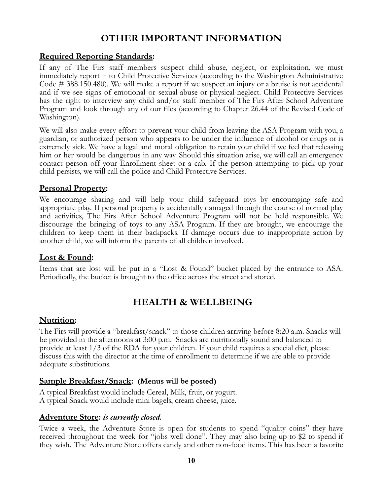# **OTHER IMPORTANT INFORMATION**

#### **Required Reporting Standards:**

If any of The Firs staff members suspect child abuse, neglect, or exploitation, we must immediately report it to Child Protective Services (according to the Washington Administrative Code # 388.150.480). We will make a report if we suspect an injury or a bruise is not accidental and if we see signs of emotional or sexual abuse or physical neglect. Child Protective Services has the right to interview any child and/or staff member of The Firs After School Adventure Program and look through any of our files (according to Chapter 26.44 of the Revised Code of Washington).

We will also make every effort to prevent your child from leaving the ASA Program with you, a guardian, or authorized person who appears to be under the influence of alcohol or drugs or is extremely sick. We have a legal and moral obligation to retain your child if we feel that releasing him or her would be dangerous in any way. Should this situation arise, we will call an emergency contact person off your Enrollment sheet or a cab. If the person attempting to pick up your child persists, we will call the police and Child Protective Services.

#### **Personal Property:**

We encourage sharing and will help your child safeguard toys by encouraging safe and appropriate play. If personal property is accidentally damaged through the course of normal play and activities, The Firs After School Adventure Program will not be held responsible. We discourage the bringing of toys to any ASA Program. If they are brought, we encourage the children to keep them in their backpacks. If damage occurs due to inappropriate action by another child, we will inform the parents of all children involved.

#### **Lost & Found:**

Items that are lost will be put in a "Lost & Found" bucket placed by the entrance to ASA. Periodically, the bucket is brought to the office across the street and stored.

# **HEALTH & WELLBEING**

#### **Nutrition:**

The Firs will provide a "breakfast/snack" to those children arriving before 8:20 a.m. Snacks will be provided in the afternoons at 3:00 p.m. Snacks are nutritionally sound and balanced to provide at least 1/3 of the RDA for your children. If your child requires a special diet, please discuss this with the director at the time of enrollment to determine if we are able to provide adequate substitutions.

#### **Sample Breakfast/Snack: (Menus will be posted)**

A typical Breakfast would include Cereal, Milk, fruit, or yogurt. A typical Snack would include mini bagels, cream cheese, juice.

#### **Adventure Store:** *is currently closed.*

Twice a week, the Adventure Store is open for students to spend "quality coins" they have received throughout the week for "jobs well done". They may also bring up to \$2 to spend if they wish. The Adventure Store offers candy and other non-food items. This has been a favorite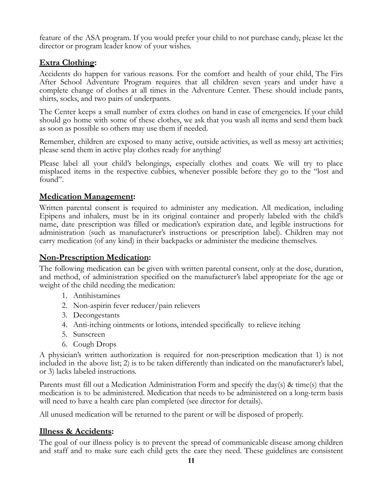feature of the ASA program. If you would prefer your child to not purchase candy, please let the director or program leader know of your wishes.

# **Extra Clothing:**

Accidents do happen for various reasons. For the comfort and health of your child, The Firs After School Adventure Program requires that all children seven years and under have a complete change of clothes at all times in the Adventure Center. These should include pants, shirts, socks, and two pairs of underpants.

The Center keeps a small number of extra clothes on hand in case of emergencies. If your child should go home with some of these clothes, we ask that you wash all items and send them back as soon as possible so others may use them if needed.

Remember, children are exposed to many active, outside activities, as well as messy art activities; please send them in active play clothes ready for anything!

Please label all your child's belongings, especially clothes and coats. We will try to place misplaced items in the respective cubbies, whenever possible before they go to the "lost and found".

#### **Medication Management:**

Written parental consent is required to administer any medication. All medication, including Epipens and inhalers, must be in its original container and properly labeled with the child's name, date prescription was filled or medication's expiration date, and legible instructions for administration (such as manufacturer's instructions or prescription label). Children may not carry medication (of any kind) in their backpacks or administer the medicine themselves.

#### **Non-Prescription Medication:**

The following medication can be given with written parental consent, only at the dose, duration, and method, of administration specified on the manufacturer's label appropriate for the age or weight of the child needing the medication:

- 1. Antihistamines
- 2. Non-aspirin fever reducer/pain relievers
- 3. Decongestants
- 4. Anti-itching ointments or lotions, intended specifically to relieve itching
- 5. Sunscreen
- 6. Cough Drops

A physician's written authorization is required for non-prescription medication that 1) is not included in the above list; 2) is to be taken differently than indicated on the manufacturer's label, or 3) lacks labeled instructions.

Parents must fill out a Medication Administration Form and specify the day(s) & time(s) that the medication is to be administered. Medication that needs to be administered on a long-term basis will need to have a health care plan completed (see director for details).

All unused medication will be returned to the parent or will be disposed of properly.

# **Illness & Accidents:**

The goal of our illness policy is to prevent the spread of communicable disease among children and staff and to make sure each child gets the care they need. These guidelines are consistent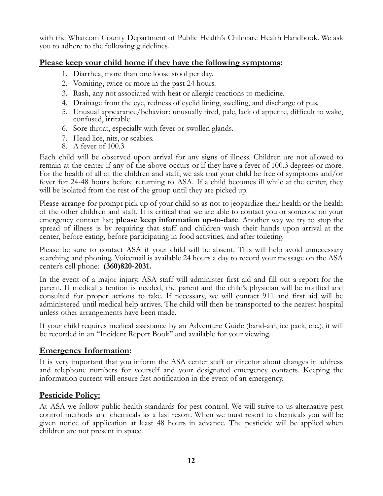with the Whatcom County Department of Public Health's Childcare Health Handbook. We ask you to adhere to the following guidelines.

#### **Please keep your child home if they have the following symptoms:**

- 1. Diarrhea, more than one loose stool per day.
- 2. Vomiting, twice or more in the past 24 hours.
- 3. Rash, any not associated with heat or allergic reactions to medicine.
- 4. Drainage from the eye, redness of eyelid lining, swelling, and discharge of pus.
- 5. Unusual appearance/behavior: unusually tired, pale, lack of appetite, difficult to wake, confused, irritable.
- 6. Sore throat, especially with fever or swollen glands.
- 7. Head lice, nits, or scabies.
- 8. A fever of 100.3

Each child will be observed upon arrival for any signs of illness. Children are not allowed to remain at the center if any of the above occurs or if they have a fever of 100.3 degrees or more. For the health of all of the children and staff, we ask that your child be free of symptoms and/or fever for 24-48 hours before returning to ASA. If a child becomes ill while at the center, they will be isolated from the rest of the group until they are picked up.

Please arrange for prompt pick up of your child so as not to jeopardize their health or the health of the other children and staff. It is critical that we are able to contact you or someone on your emergency contact list; **please keep information up-to-date**. Another way we try to stop the spread of illness is by requiring that staff and children wash their hands upon arrival at the center, before eating, before participating in food activities, and after toileting.

Please be sure to contact ASA if your child will be absent. This will help avoid unnecessary searching and phoning. Voicemail is available 24 hours a day to record your message on the ASA center's cell phone: **(360)820-2031.**

In the event of a major injury, ASA staff will administer first aid and fill out a report for the parent. If medical attention is needed, the parent and the child's physician will be notified and consulted for proper actions to take. If necessary, we will contact 911 and first aid will be administered until medical help arrives. The child will then be transported to the nearest hospital unless other arrangements have been made.

If your child requires medical assistance by an Adventure Guide (band-aid, ice pack, etc.), it will be recorded in an "Incident Report Book" and available for your viewing.

#### **Emergency Information:**

It is very important that you inform the ASA center staff or director about changes in address and telephone numbers for yourself and your designated emergency contacts. Keeping the information current will ensure fast notification in the event of an emergency.

# **Pesticide Policy:**

At ASA we follow public health standards for pest control. We will strive to us alternative pest control methods and chemicals as a last resort. When we must resort to chemicals you will be given notice of application at least 48 hours in advance. The pesticide will be applied when children are not present in space.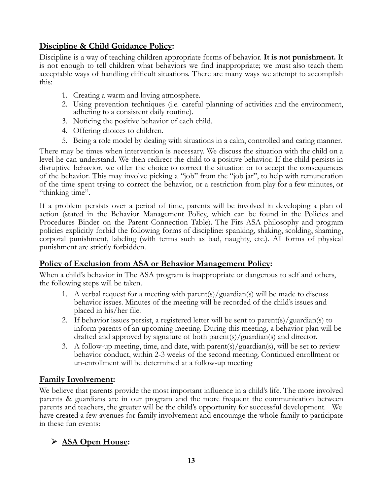# **Discipline & Child Guidance Policy:**

Discipline is a way of teaching children appropriate forms of behavior. **It is not punishment.** It is not enough to tell children what behaviors we find inappropriate; we must also teach them acceptable ways of handling difficult situations. There are many ways we attempt to accomplish this:

- 1. Creating a warm and loving atmosphere.
- 2. Using prevention techniques (i.e. careful planning of activities and the environment, adhering to a consistent daily routine).
- 3. Noticing the positive behavior of each child.
- 4. Offering choices to children.
- 5. Being a role model by dealing with situations in a calm, controlled and caring manner.

There may be times when intervention is necessary. We discuss the situation with the child on a level he can understand. We then redirect the child to a positive behavior. If the child persists in disruptive behavior, we offer the choice to correct the situation or to accept the consequences of the behavior. This may involve picking a "job" from the "job jar", to help with remuneration of the time spent trying to correct the behavior, or a restriction from play for a few minutes, or "thinking time".

If a problem persists over a period of time, parents will be involved in developing a plan of action (stated in the Behavior Management Policy, which can be found in the Policies and Procedures Binder on the Parent Connection Table). The Firs ASA philosophy and program policies explicitly forbid the following forms of discipline: spanking, shaking, scolding, shaming, corporal punishment, labeling (with terms such as bad, naughty, etc.). All forms of physical punishment are strictly forbidden.

#### **Policy of Exclusion from ASA or Behavior Management Policy:**

When a child's behavior in The ASA program is inappropriate or dangerous to self and others, the following steps will be taken.

- 1. A verbal request for a meeting with parent(s)/guardian(s) will be made to discuss behavior issues. Minutes of the meeting will be recorded of the child's issues and placed in his/her file.
- 2. If behavior issues persist, a registered letter will be sent to parent(s)/guardian(s) to inform parents of an upcoming meeting. During this meeting, a behavior plan will be drafted and approved by signature of both parent(s)/guardian(s) and director.
- 3. A follow-up meeting, time, and date, with parent(s)/guardian(s), will be set to review behavior conduct, within 2-3 weeks of the second meeting. Continued enrollment or un-enrollment will be determined at a follow-up meeting

#### **Family Involvement:**

We believe that parents provide the most important influence in a child's life. The more involved parents & guardians are in our program and the more frequent the communication between parents and teachers, the greater will be the child's opportunity for successful development. We have created a few avenues for family involvement and encourage the whole family to participate in these fun events:

# ⮚ **ASA Open House:**